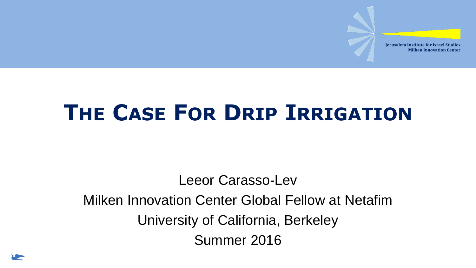## **THE CASE FOR DRIP IRRIGATION**

Leeor Carasso-Lev Milken Innovation Center Global Fellow at Netafim University of California, Berkeley Summer 2016

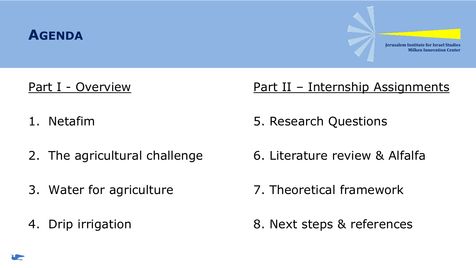

#### Part I - Overview

- 1. Netafim
- 2. The agricultural challenge
- 3. Water for agriculture
- 4. Drip irrigation

#### Part II - Internship Assignments

- 5. Research Questions
- 6. Literature review & Alfalfa
- 7. Theoretical framework
- 8. Next steps & references

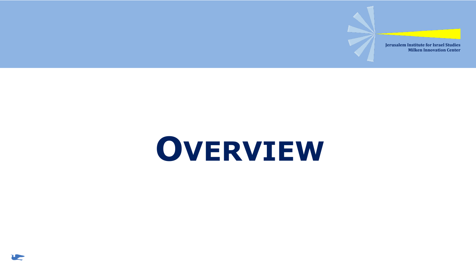## **OVERVIEW**

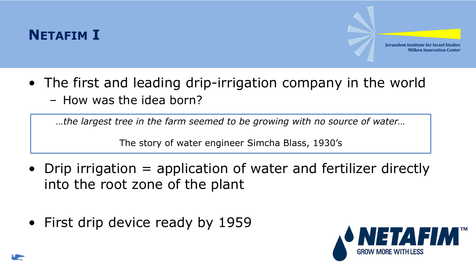

- The first and leading drip-irrigation company in the world
	- How was the idea born?

*…the largest tree in the farm seemed to be growing with no source of water…*

The story of water engineer Simcha Blass, 1930's

- Drip irrigation = application of water and fertilizer directly into the root zone of the plant
- First drip device ready by 1959



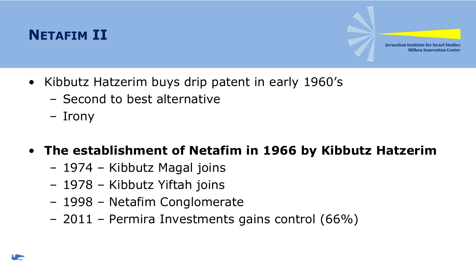#### **NETAFIM II**

**Jerusalem Institute for Israel Studies Milken Innovation Center**

- Kibbutz Hatzerim buys drip patent in early 1960's
	- Second to best alternative
	- Irony

#### • **The establishment of Netafim in 1966 by Kibbutz Hatzerim**

- 1974 Kibbutz Magal joins
- 1978 Kibbutz Yiftah joins
- 1998 Netafim Conglomerate
- 2011 Permira Investments gains control (66%)

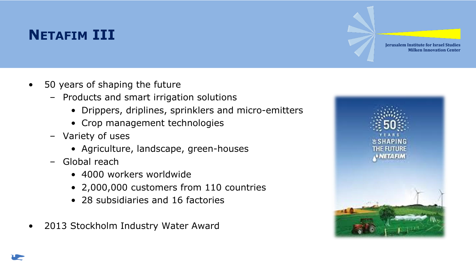### **NETAFIM III**

- 50 years of shaping the future
	- Products and smart irrigation solutions
		- Drippers, driplines, sprinklers and micro-emitters
		- Crop management technologies
	- Variety of uses
		- Agriculture, landscape, green-houses
	- Global reach
		- 4000 workers worldwide
		- 2,000,000 customers from 110 countries
		- 28 subsidiaries and 16 factories
- 2013 Stockholm Industry Water Award

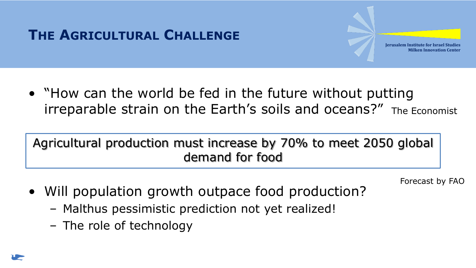

• "How can the world be fed in the future without putting irreparable strain on the Earth's soils and oceans?" The Economist

#### Agricultural production must increase by 70% to meet 2050 global demand for food

Forecast by FAO

- Will population growth outpace food production?
	- Malthus pessimistic prediction not yet realized!
	- The role of technology

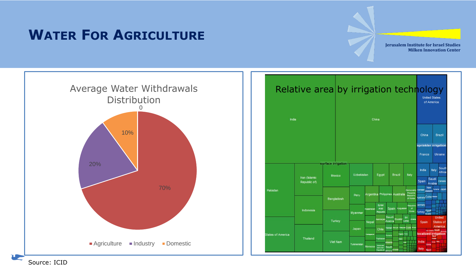#### **WATER FOR AGRICULTURE**

**Jerusalem Institute for Israel Studies Milken Innovation Center**





Source: ICID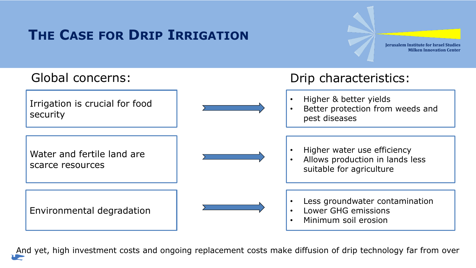#### **THE CASE FOR DRIP IRRIGATION**

**Jerusalem Institute for Israel Studies Milken Innovation Center**



And yet, high investment costs and ongoing replacement costs make diffusion of drip technology far from over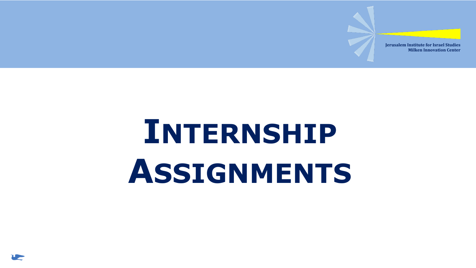## **INTERNSHIP ASSIGNMENTS**

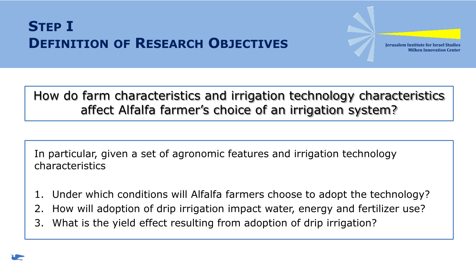#### **STEP I DEFINITION OF RESEARCH OBJECTIVES**

**Jerusalem Institute for Israel Studies Milken Innovation Center**

#### How do farm characteristics and irrigation technology characteristics affect Alfalfa farmer's choice of an irrigation system?

In particular, given a set of agronomic features and irrigation technology characteristics

- 1. Under which conditions will Alfalfa farmers choose to adopt the technology?
- 2. How will adoption of drip irrigation impact water, energy and fertilizer use?
- 3. What is the yield effect resulting from adoption of drip irrigation?

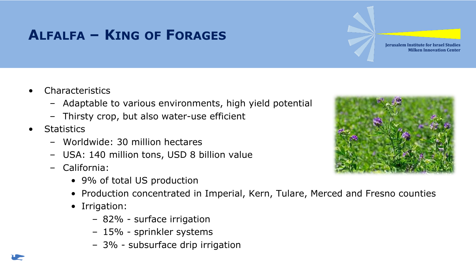### **ALFALFA – KING OF FORAGES**

**Milken Innovation Center**

**Jerusalem Institute for Israel Studies**

- **Characteristics** 
	- Adaptable to various environments, high yield potential
	- Thirsty crop, but also water-use efficient
- **Statistics** 
	- Worldwide: 30 million hectares
	- USA: 140 million tons, USD 8 billion value
	- California:
		- 9% of total US production
		- Production concentrated in Imperial, Kern, Tulare, Merced and Fresno counties
		- Irrigation:
			- 82% surface irrigation
			- 15% sprinkler systems
			- 3% subsurface drip irrigation

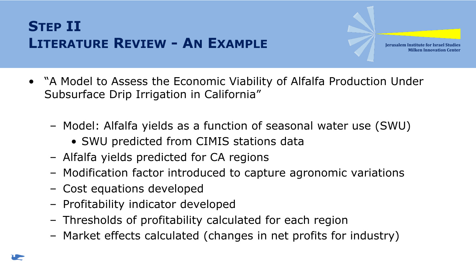- "A Model to Assess the Economic Viability of Alfalfa Production Under Subsurface Drip Irrigation in California"
	- Model: Alfalfa yields as a function of seasonal water use (SWU)
		- SWU predicted from CIMIS stations data
	- Alfalfa yields predicted for CA regions
	- Modification factor introduced to capture agronomic variations
	- Cost equations developed
	- Profitability indicator developed
	- Thresholds of profitability calculated for each region
	- Market effects calculated (changes in net profits for industry)

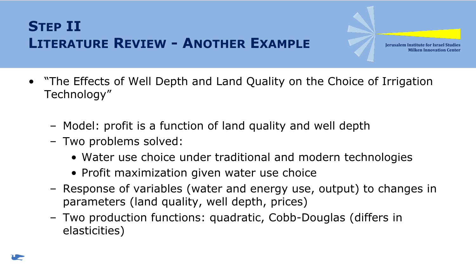- "The Effects of Well Depth and Land Quality on the Choice of Irrigation Technology"
	- Model: profit is a function of land quality and well depth
	- Two problems solved:
		- Water use choice under traditional and modern technologies
		- Profit maximization given water use choice
	- Response of variables (water and energy use, output) to changes in parameters (land quality, well depth, prices)
	- Two production functions: quadratic, Cobb-Douglas (differs in elasticities)

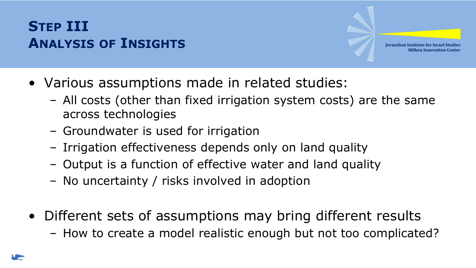### **STEP III ANALYSIS OF INSIGHTS**

- Various assumptions made in related studies:
	- All costs (other than fixed irrigation system costs) are the same across technologies
	- Groundwater is used for irrigation
	- Irrigation effectiveness depends only on land quality
	- Output is a function of effective water and land quality
	- No uncertainty / risks involved in adoption
- Different sets of assumptions may bring different results
	- How to create a model realistic enough but not too complicated?

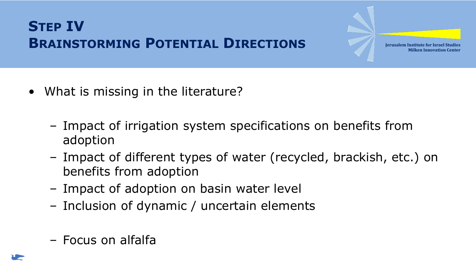### **STEP IV BRAINSTORMING POTENTIAL DIRECTIONS**

- What is missing in the literature?
	- Impact of irrigation system specifications on benefits from adoption
	- Impact of different types of water (recycled, brackish, etc.) on benefits from adoption
	- Impact of adoption on basin water level
	- Inclusion of dynamic / uncertain elements
	- Focus on alfalfa

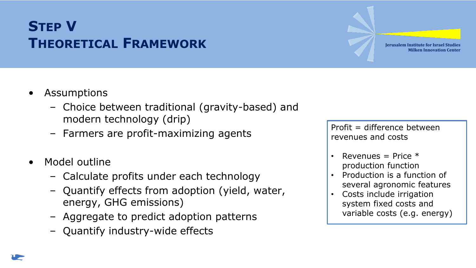#### **STEP V THEORETICAL FRAMEWORK**

- Assumptions
	- Choice between traditional (gravity-based) and modern technology (drip)
	- Farmers are profit-maximizing agents
- Model outline
	- Calculate profits under each technology
	- Quantify effects from adoption (yield, water, energy, GHG emissions)
	- Aggregate to predict adoption patterns
	- Quantify industry-wide effects

 $Profit = difference between$ revenues and costs

- Revenues = Price  $*$ production function
- Production is a function of several agronomic features
- Costs include irrigation system fixed costs and variable costs (e.g. energy)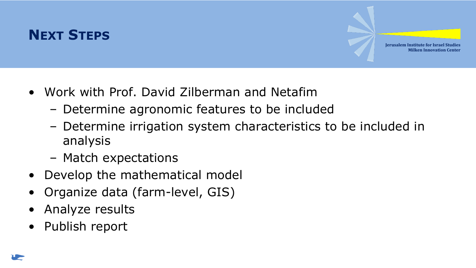#### **NEXT STEPS**

- Work with Prof. David Zilberman and Netafim
	- Determine agronomic features to be included
	- Determine irrigation system characteristics to be included in analysis
	- Match expectations
- Develop the mathematical model
- Organize data (farm-level, GIS)
- Analyze results
- Publish report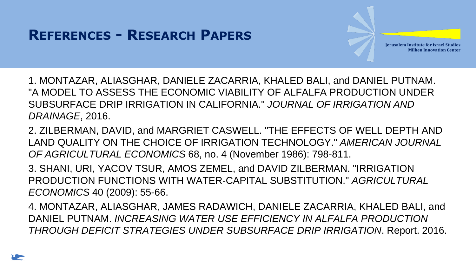- 1. MONTAZAR, ALIASGHAR, DANIELE ZACARRIA, KHALED BALI, and DANIEL PUTNAM. "A MODEL TO ASSESS THE ECONOMIC VIABILITY OF ALFALFA PRODUCTION UNDER SUBSURFACE DRIP IRRIGATION IN CALIFORNIA." *JOURNAL OF IRRIGATION AND DRAINAGE*, 2016.
- 2. ZILBERMAN, DAVID, and MARGRIET CASWELL. "THE EFFECTS OF WELL DEPTH AND LAND QUALITY ON THE CHOICE OF IRRIGATION TECHNOLOGY." *AMERICAN JOURNAL OF AGRICULTURAL ECONOMICS* 68, no. 4 (November 1986): 798-811.
- 3. SHANI, URI, YACOV TSUR, AMOS ZEMEL, and DAVID ZILBERMAN. "IRRIGATION PRODUCTION FUNCTIONS WITH WATER-CAPITAL SUBSTITUTION." *AGRICULTURAL ECONOMICS* 40 (2009): 55-66.
- 4. MONTAZAR, ALIASGHAR, JAMES RADAWICH, DANIELE ZACARRIA, KHALED BALI, and DANIEL PUTNAM. *INCREASING WATER USE EFFICIENCY IN ALFALFA PRODUCTION THROUGH DEFICIT STRATEGIES UNDER SUBSURFACE DRIP IRRIGATION*. Report. 2016.

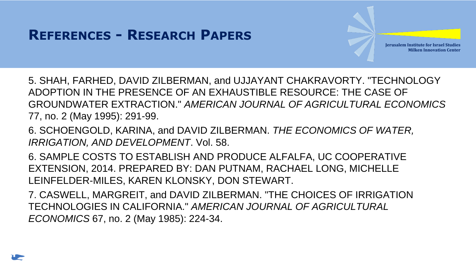5. SHAH, FARHED, DAVID ZILBERMAN, and UJJAYANT CHAKRAVORTY. "TECHNOLOGY ADOPTION IN THE PRESENCE OF AN EXHAUSTIBLE RESOURCE: THE CASE OF GROUNDWATER EXTRACTION." *AMERICAN JOURNAL OF AGRICULTURAL ECONOMICS* 77, no. 2 (May 1995): 291-99.

6. SCHOENGOLD, KARINA, and DAVID ZILBERMAN. *THE ECONOMICS OF WATER, IRRIGATION, AND DEVELOPMENT*. Vol. 58.

6. SAMPLE COSTS TO ESTABLISH AND PRODUCE ALFALFA, UC COOPERATIVE EXTENSION, 2014. PREPARED BY: DAN PUTNAM, RACHAEL LONG, MICHELLE LEINFELDER-MILES, KAREN KLONSKY, DON STEWART.

7. CASWELL, MARGREIT, and DAVID ZILBERMAN. "THE CHOICES OF IRRIGATION TECHNOLOGIES IN CALIFORNIA." *AMERICAN JOURNAL OF AGRICULTURAL ECONOMICS* 67, no. 2 (May 1985): 224-34.